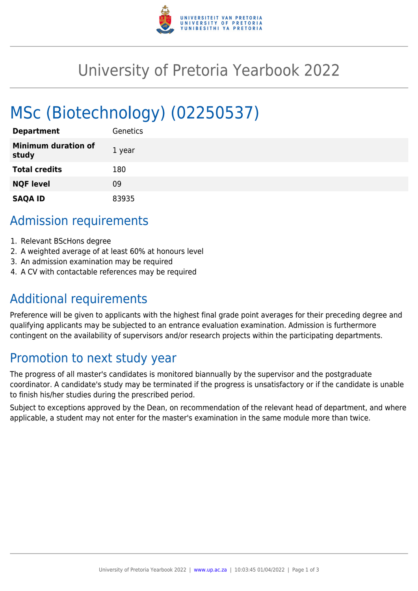

# University of Pretoria Yearbook 2022

# MSc (Biotechnology) (02250537)

| <b>Department</b>                   | Genetics |
|-------------------------------------|----------|
| <b>Minimum duration of</b><br>study | 1 year   |
| <b>Total credits</b>                | 180      |
| <b>NQF level</b>                    | 09       |
| <b>SAQA ID</b>                      | 83935    |

## Admission requirements

- 1. Relevant BScHons degree
- 2. A weighted average of at least 60% at honours level
- 3. An admission examination may be required
- 4. A CV with contactable references may be required

# Additional requirements

Preference will be given to applicants with the highest final grade point averages for their preceding degree and qualifying applicants may be subjected to an entrance evaluation examination. Admission is furthermore contingent on the availability of supervisors and/or research projects within the participating departments.

# Promotion to next study year

The progress of all master's candidates is monitored biannually by the supervisor and the postgraduate coordinator. A candidate's study may be terminated if the progress is unsatisfactory or if the candidate is unable to finish his/her studies during the prescribed period.

Subject to exceptions approved by the Dean, on recommendation of the relevant head of department, and where applicable, a student may not enter for the master's examination in the same module more than twice.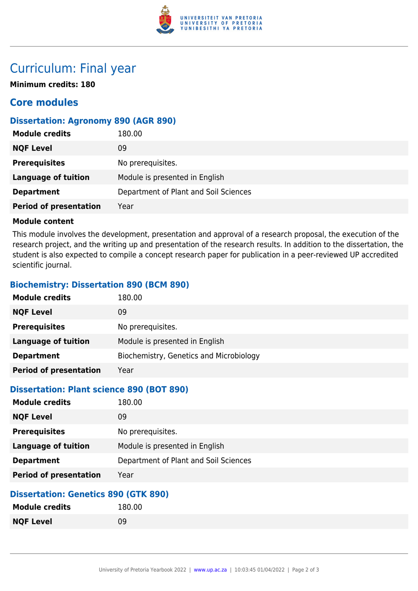

# Curriculum: Final year

**Minimum credits: 180**

## **Core modules**

## **Dissertation: Agronomy 890 (AGR 890)**

| <b>Module credits</b>         | 180.00                                |
|-------------------------------|---------------------------------------|
| <b>NQF Level</b>              | 09                                    |
| <b>Prerequisites</b>          | No prerequisites.                     |
| <b>Language of tuition</b>    | Module is presented in English        |
| <b>Department</b>             | Department of Plant and Soil Sciences |
| <b>Period of presentation</b> | Year                                  |

#### **Module content**

This module involves the development, presentation and approval of a research proposal, the execution of the research project, and the writing up and presentation of the research results. In addition to the dissertation, the student is also expected to compile a concept research paper for publication in a peer-reviewed UP accredited scientific journal.

## **Biochemistry: Dissertation 890 (BCM 890)**

| <b>Module credits</b>         | 180.00                                  |
|-------------------------------|-----------------------------------------|
| <b>NQF Level</b>              | 09                                      |
| <b>Prerequisites</b>          | No prerequisites.                       |
| <b>Language of tuition</b>    | Module is presented in English          |
| <b>Department</b>             | Biochemistry, Genetics and Microbiology |
| <b>Period of presentation</b> | Year                                    |

### **Dissertation: Plant science 890 (BOT 890)**

| <b>Module credits</b>         | 180.00                                |
|-------------------------------|---------------------------------------|
| <b>NQF Level</b>              | 09                                    |
| <b>Prerequisites</b>          | No prerequisites.                     |
| <b>Language of tuition</b>    | Module is presented in English        |
| <b>Department</b>             | Department of Plant and Soil Sciences |
| <b>Period of presentation</b> | Year                                  |

### **Dissertation: Genetics 890 (GTK 890)**

| <b>Module credits</b> | 180.00 |
|-----------------------|--------|
| <b>NQF Level</b>      | 09     |
|                       |        |